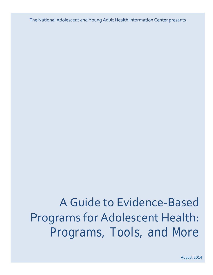The National Adolescent and Young Adult Health Information Center presents

# A Guide to Evidence-Based Programs for Adolescent Health: Programs, Tools, and More

August 2014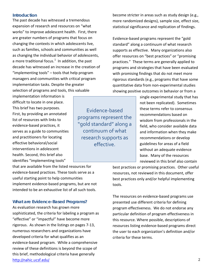#### **Introduction**

The past decade has witnessed a tremendous expansion of research and resources on "what works" to improve adolescent health. First, there are greater numbers of programs that focus on changing the contexts in which adolescents live, such as families, schools and communities as well as changing the individual behavior of adolescents, a more traditional focus.<sup>[1](#page-4-0)</sup> In addition, the past decade has witnessed an increase in the creation of "implementing tools" – tools that help program managers and communities with critical program implementation tasks. Despite the greater selection of programs and tools, this valuable

implementation information is difficult to locate in one place. This brief has two purposes. First, by providing an annotated list of resources with links to evidence-based practices, it serves as a guide to communities and practitioners for locating effective behavioral/social interventions in adolescent health. Second, this brief also identifies "implementing tools"

that are available from the listed resources for evidence-based practices. These tools serve as a useful starting point to help communities implement evidence-based programs, but are not intended to be an exhaustive list of all such tools.

## **What are Evidence-Based Programs?**

As evaluation research has grown more sophisticated, the criteria for labeling a program as "effective" or "impactful" have become more rigorous. As shown in the listings on pages 7-13, numerous researchers and organizations have developed criteria for what qualifies as an evidence-based program. While a comprehensive review of these definitions is beyond the scope of this brief, methodological criteria have generally <http://nahic.ucsf.edu/>2

Evidence-based programs represent the "gold standard" along a continuum of what research supports as effective.

become stricter in areas such as study design (e.g., more randomized designs), sample size, effect size, statistical significance and replication of findings.

Evidence-based programs represent the "gold standard" along a continuum of what research supports as effective. Many organizations also offer resources on "best practices" or "promising practices." These terms are generally applied to programs and strategies that have been evaluated with promising findings that do not meet more rigorous standards (e.g., programs that have some quantitative data from non-experimental studies showing positive outcomes in behavior or from a

> single experimental study that has not been replicated). Sometimes these terms refer to consensus recommendations based on wisdom from professionals in the field, who consider available data and information when they make recommendations or develop guidelines for areas of a field without an adequate evidence base. Many of the resources reviewed in this brief also contain

best practices or promising practices. Other useful resources, not reviewed in this document, offer best practices only and/or helpful implementing tools.

The resources on evidence-based programs use presented use different criteria for defining program effectiveness. We do not endorse any particular definition of program effectiveness in this resource. Where possible, descriptions of resources listing evidence-based programs direct the user to each organization's definition and/or criteria for these terms.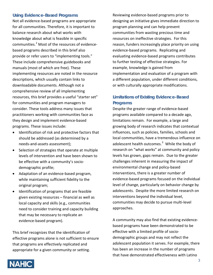## **Using Evidence-Based Programs**

Not all evidence-based programs are appropriate for all communities. Therefore, it is important to balance research about what works with knowledge about what is feasible in specific communities.[2](#page-5-0) Most of the resources of evidencebased programs described in this brief also provide or refer users to "implementing tools." These include comprehensive guidebooks and manuals (most of which are free). These implementing resources are noted in the resource descriptions, which usually contain links to downloadable documents. Although not a comprehensive review of all implementing resources, this brief provides a useful "starter set" for communities and program managers to consider. These tools address many issues that practitioners working with communities face as they design and implement evidence-based programs. These issues include:

- Identification of risk and protective factors that should be addressed (as determined by a needs-and-assets assessment);
- Selection of strategies that operate at multiple levels of intervention and have been shown to be effective with a community's sociodemographic profile;
- Adaptation of an evidence-based program, while maintaining sufficient fidelity to the original program;
- Identification of programs that are feasible given existing resources – financial as well as local capacity and skills (e.g., communities need to consider training and capacity building that may be necessary to replicate an evidence-based program).

This brief recognizes that the identification of effective programs alone is not sufficient to ensure that programs are effectively replicated and appropriate for a given community or setting.

Reviewing evidence-based programs prior to designing an initiative gives immediate direction to program planning and can help prevent communities from wasting precious time and resources on ineffective strategies. For this reason, funders increasingly place priority on using evidence-based programs. Replicating and evaluating evidence-based programs contributes to further testing of effective strategies. For example, knowledge is gained from implementation and evaluation of a program with a different population, under different conditions, or with culturally appropriate modifications.

# **Limitations of Existing Evidence-Based Programs**

Despite the greater range of evidence-based programs available compared to a decade ago, limitations remain. For example, a large and growing body of research indicates that contextual influences, such as policies, families, schools and local communities, have a tremendous influence on adolescent health outcomes.<sup>[3](#page-5-1)</sup> While the body of research on "what works" at community and policy levels has grown, gaps remain. Due to the greater challenges inherent in measuring the impact of environmental change and policy-based interventions, there is a greater number of evidence-based programs focused on the individual level of change, particularly on behavior change by adolescents. Despite the more limited research on interventions beyond the individual level, communities may decide to pursue multi-level approaches.

A community may also find that existing evidencebased programs have been demonstrated to be effective with a limited profile of sociodemographic groups and may not reflect the adolescent population it serves. For example, there has been an increase in the number of programs that have demonstrated effectiveness with Latino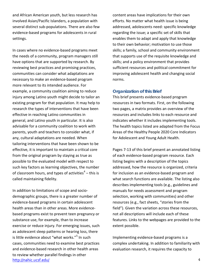and African American youth, but less research has involved Asian/Pacific Islanders, a population with several distinct sub-populations. There are also few evidence-based programs for adolescents in rural settings.

In cases where no evidence-based programs meet the needs of a community, program managers still have options that are supported by research. By reviewing best practices and promising practices, communities can consider what adaptations are necessary to make an evidence-based program more relevant to its intended audience. For example, a community coalition aiming to reduce injury among Latino youth might decide to tailor an existing program for that population. It may help to research the types of interventions that have been effective in reaching Latino communities in general, and Latino youth in particular. It is also advisable for a community coalition to work with parents, youth and teachers to consider what, if any, cultural adaptations are needed. When tailoring interventions that have been shown to be effective, it is important to maintain a critical core from the original program by staying as true as possible to the evaluated model with respect to such key factors as learning objectives, the number of classroom hours, and types of activities<sup>[4](#page-5-2)</sup> – this is called maintaining fidelity.

In addition to limitations of scope and sociodemographic groups, there is a greater number of evidence-based programs in certain adolescent health areas than in other areas. More evidencebased programs exist to prevent teen pregnancy or substance use, for example, than to increase exercise or reduce injury. For emerging issues, such as adolescent sleep patterns or hearing loss, there is little evidence about "what works."<sup>[5](#page-5-3)</sup> In such cases, communities need to examine best practices and evidence-based research in other health areas to review whether parallel findings in other <http://nahic.ucsf.edu/> 4

content areas have implications for their own efforts. No matter what health issue is being addressed, adolescents need: specific knowledge regarding the issue; a specific set of skills that enables them to adapt and apply that knowledge to their own behavior; motivation to use those skills; a family, school and community environment that supports use of the requisite knowledge and skills; and a policy environment that provides sufficient resources and political commitment for improving adolescent health and changing social norms.

#### **Organization of this Brief**

This brief presents evidence-based program resources in two formats. First, on the following two pages, a matrix provides an overview of the resources and includes links to each resource and indicates whether it includes implementing tools. The health topics listed are adapted from the Focus Areas of the Healthy People 2020 Core Indicators for Adolescent and Young Adult Health.

Pages 7-13 of this brief present an annotated listing of each evidence-based program resource. Each listing begins with a description of the topics addressed, how the resource is organized, criteria for inclusion as an evidence-based program and what search functions are available. The listing also describes implementing tools (e.g., guidelines and manuals for needs assessment and program selection, working with communities) and other resources (e.g., fact sheets, "stories from the field"). Given the variation across these resources, not all descriptions will include each of these features. Links to the webpages are provided to the extent possible.

Implementing evidence-based programs is a complex undertaking. In addition to familiarity with evaluation research, it requires the capacity to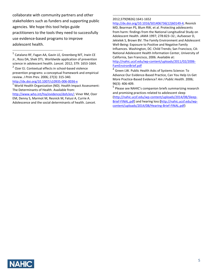collaborate with community partners and other stakeholders such as funders and supporting public agencies. We hope this tool helps guide practitioners to the tools they need to successfully use evidence-based programs to improve adolescent health.

 $\overline{a}$ 

<http://dx.doi.org/10.1007/s10935-006-0036-x><br><sup>3</sup> World Health Organization (ND). Health Impact Assessment: The Determinants of Health. Available from:

[http://www.who.int/hia/evidence/doh/en/;](http://www.who.int/hia/evidence/doh/en/) Viner RM, Ozer EM, Denny S, Marmot M, Resnick M, Fatusi A, Currie A. Adolescence and the social determinants of health. *Lancet*.

#### 2012;379(9826):1641-1652 j

[http://dx.doi.org/10.1016/S01406736\(12\)60149-4;](http://dx.doi.org/10.1016/S0140-6736(12)60149-4) Resnick MD, Bearman PS, Blum RW, et al. Protecting adolescents from harm: findings from the National Longitudinal Study on Adolescent Health. *JAMA* 1997; 278:823–32.; Aufseeser D, Jekielek S, Brown BV. The Family Environment and Adolescent Well-Being: Exposure to Positive and Negative Family Influences. Washington, DC: Child Trends; San Francisco, CA: National Adolescent Health Information Center, University of California, San Francisco, 2006. Available at:

[http://nahic.ucsf.edu/wp-content/uploads/2011/02/2006-](http://nahic.ucsf.edu/wp-content/uploads/2011/02/2006-FamEnvironBrief.pdf) [FamEnvironBrief.pdf](http://nahic.ucsf.edu/wp-content/uploads/2011/02/2006-FamEnvironBrief.pdf)

Green LW. Public Health Asks of Systems Science: To Advance Our Evidence-Based Practice, Can You Help Us Get More Practice-Based Evidence? *Am J Public Health.* 2006; 96(3): 406-409.

<sup>5</sup> Please see NAHIC's companion briefs summarizing research and promising practices related to adolescent sleep [\(http://nahic.ucsf.edu/wp-content/uploads/2014/08/Sleep-](http://nahic.ucsf.edu/wp-content/uploads/2014/08/Sleep-Brief-FINAL.pdf)[Brief-FINAL.pdf\)](http://nahic.ucsf.edu/wp-content/uploads/2014/08/Sleep-Brief-FINAL.pdf) and hearing loss **(**[http://nahic.ucsf.edu/wp](http://nahic.ucsf.edu/wp-content/uploads/2014/08/Hearing-Brief-FINAL.pdf)[content/uploads/2014/08/Hearing-Brief-FINAL.pdf\)](http://nahic.ucsf.edu/wp-content/uploads/2014/08/Hearing-Brief-FINAL.pdf)



<span id="page-4-0"></span> $^{1}$  Catalano RF, Fagan AA, Gavin LE, Greenberg MT, Irwin CE Jr., Ross DA, Shek DTL. Worldwide application of prevention science in adolescent health. *Lancet.* 2012; 379: 1653-1664.

<sup>&</sup>lt;sup>2</sup> Ozer EJ. Contextual effects in school-based violence prevention programs: a conceptual framework and empirical review. *J Prim Prev.* 2006; 27(3): 315-340.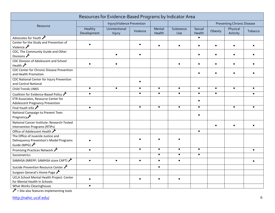<span id="page-5-3"></span><span id="page-5-2"></span><span id="page-5-1"></span><span id="page-5-0"></span>

| Resources for Evidence-Based Programs by Indicator Area                                                       |                        |                            |           |                  |                  |                  |                                   |                      |         |
|---------------------------------------------------------------------------------------------------------------|------------------------|----------------------------|-----------|------------------|------------------|------------------|-----------------------------------|----------------------|---------|
| Resource                                                                                                      |                        | Injury/Violence Prevention |           |                  |                  |                  | <b>Preventing Chronic Disease</b> |                      |         |
|                                                                                                               | Healthy<br>Development | Unintentional<br>Injury    | Violence  | Mental<br>Health | Substance<br>Use | Sexual<br>Health | Obesity                           | Physical<br>Activity | Tobacco |
| Advocates for Youth                                                                                           |                        |                            |           |                  |                  |                  |                                   |                      |         |
| Center for the Study and Prevention of<br>Violence $\lambda$                                                  | $\bullet$              |                            |           |                  |                  |                  |                                   |                      |         |
| CDC, The Community Guide and Other<br>Divisions $\lambda$                                                     |                        |                            |           |                  |                  |                  |                                   |                      |         |
| CDC Division of Adolescent and School<br>Health $\lambda$                                                     |                        |                            |           |                  |                  |                  |                                   |                      |         |
| <b>CDC Center for Chronic Disease Prevention</b><br>and Health Promotion                                      |                        |                            |           |                  |                  |                  |                                   |                      |         |
| CDC National Center for Injury Prevention<br>and Control National                                             |                        |                            |           |                  |                  |                  |                                   |                      |         |
| Child Trends LINKS                                                                                            | $\bullet$              | $\bullet$                  |           | $\bullet$        | $\bullet$        | $\bullet$        | $\bullet$                         | $\bullet$            |         |
| Coalition for Evidence-Based Policy                                                                           | $\bullet$              |                            | $\bullet$ | $\bullet$        | $\bullet$        | $\bullet$        | $\bullet$                         |                      |         |
| ETR Associates, Resource Center for<br><b>Adolescent Pregnancy Prevention</b>                                 |                        |                            |           |                  |                  |                  |                                   |                      |         |
| Find Youth Info $\lambda$                                                                                     | $\bullet$              |                            | $\bullet$ | $\bullet$        | $\bullet$        | $\bullet$        |                                   | $\bullet$            |         |
| National Campaign to Prevent Teen                                                                             |                        |                            |           |                  |                  |                  |                                   |                      |         |
| Pregnancy                                                                                                     |                        |                            |           |                  |                  |                  |                                   |                      |         |
| National Cancer Institute: Research-Tested<br>Intervention Programs (RTIPs)                                   |                        |                            |           |                  |                  |                  |                                   |                      |         |
| Office of Adolescent Health                                                                                   |                        |                            |           |                  |                  | $\bullet$        |                                   |                      |         |
| The Office of Juvenile Justice and<br><b>Delinquency Prevention's Model Programs</b><br>Guide (MPG) $\lambda$ |                        |                            |           |                  |                  |                  |                                   |                      |         |
| Promising Practices Network                                                                                   | $\bullet$              |                            | $\bullet$ | $\bullet$        | $\bullet$        | $\bullet$        |                                   |                      |         |
| Sociometrics                                                                                                  |                        |                            |           | $\bullet$        | $\bullet$        | $\bullet$        |                                   |                      |         |
| SAMHSA (NREPP; SAMHSA store CAPT)                                                                             | $\bullet$              | $\bullet$                  |           | $\bullet$        | $\bullet$        |                  |                                   |                      |         |
| Suicide Prevention Resource Center                                                                            |                        |                            |           | $\bullet$        |                  |                  |                                   |                      |         |
| Surgeon General's Home Page                                                                                   |                        |                            |           |                  |                  |                  |                                   |                      |         |
| UCLA School Mental Health Project: Center<br>for Mental Health in Schools                                     | $\bullet$              |                            |           | $\bullet$        |                  |                  |                                   |                      |         |
| What Works Clearinghouse                                                                                      | $\bullet$              |                            |           |                  |                  |                  |                                   |                      |         |

= Site also features implementing tools

<http://nahic.ucsf.edu/> 6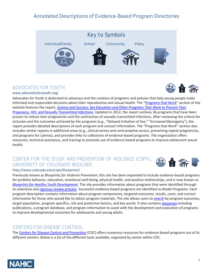# Annotated Descriptions of Evidence-Based Program Directories



# ADVOCATES FOR YOUTH

[www.advocatesforyouth.org/](http://www.advocatesforyouth.org/)

Advocates for Youth is dedicated to advocacy and the creation of programs and policies that help young people make informed and responsible decisions about their reproductive and sexual health. The ["Programs that Work"](http://www.advocatesforyouth.org/for-professionals/programs-that-work) section of the website features the report, *[Science and Success: Sex Education and Other Programs That Work to Prevent Teen](http://www.advocatesforyouth.org/storage/advfy/documents/thirdeditionexecutivesummary.pdf)  [Pregnancy, HIV, and Sexually Transmitted Infections](http://www.advocatesforyouth.org/storage/advfy/documents/thirdeditionexecutivesummary.pdf)*. Updated in 2012, the report outlines 36 programs that have been proven to reduce teen pregnancies and the contraction of sexually transmitted infections. After reviewing the criteria for inclusion and the outcomes achieved by the programs (e.g., "Delayed Initiation of Sex," "Increased Monogamy"), the report provides detailed descriptions of each program and contact information. The "Programs that Work" section also includes similar reports in additional areas (e.g., clinical serves and contraceptive access, preventing repeat pregnancies, and programs for Latinos), and provides links to collections of evidence-based programs. The organization offers resources, technical assistance, and training to promote use of evidence-based programs to improve adolescent sexual health.

# CENTER FOR THE STUDY AND PREVENTION OF VIOLENCE (CSPV), UNIVERSITY OF COLORADO BOULDER



#### <http://www.colorado.edu/cspv/blueprints/>

Previously known as *Blueprints for Violence Prevention*, this site has been expanded to include evidence-based programs for problem behavior, education, emotional well-being, physical health, and positive relationships, and is now known as *[Blueprints for Healthy Youth Development](http://www.blueprintsprograms.com/)*. The site provides information about programs that were identified through an extensive and [rigorous review process.](http://www.blueprintsprograms.com/programCriteria.php) Successful evidence-based programs are identified as *Model Programs*. Each program description contains information about program components, targeted outcomes, results, costs, and contact information for those who would like to obtain program materials. The site allows users t[o search](http://www.blueprintsprograms.com/programSearch.php) by program outcomes, target population, program specifics, risk and protective factors, and key words. It also contains [resources](http://www.colorado.edu/cspv/resources) including publications, a program database, and program information to assist with the development and evaluation of programs to improve developmental outcomes for adolescents and young adults.

# CENTERS FOR DISEASE CONTROL

The [Centers for Disease Control](http://www.cdc.gov/) and Prevention (CDC) offers numerous resources for evidence-based programs out of its different centers. Below is a list of the different tools available, organized by center within CDC.

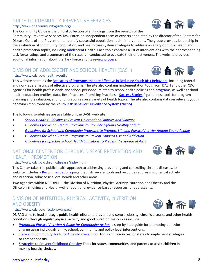## GUIDE TO COMMUNITY PREVENTIVE SERVICES <http://www.thecommunityguide.org/>

The Community Guide is the official collection of all findings from the reviews of the

Community Preventive Services Task Force, an independent team of experts appointed by the director of the Centers for Disease Control and Prevention to identify successful population health interventions. The group provides leadership in the evaluation of community, population, and health care system strategies to address a variety of public health and health promotion topics, including [Adolescent Health.](http://www.thecommunityguide.org/adolescenthealth/index.html) Each topic contains a list of interventions with their corresponding task force ratings and a summary of the research conducted to evaluate their effectiveness. The website provides additional information about the Task Force and its [review process.](http://www.thecommunityguide.org/about/methods.html%23steps)

# DIVISION OF ADOLESCENT AND SCHOOL HEALTH (DASH)

### <http://www.cdc.gov/healthyyouth/>

This website contains th[e Registries of Programs that are Effective in Reducing Youth Risk Behaviors,](http://www.cdc.gov/healthyyouth/adolescenthealth/registries.htm) including federal and non-federal listings of effective programs. The site also contains implementation tools from DASH and other CDC agencies for health professionals and school personnel related to school health policies and [programs,](http://www.cdc.gov/healthyyouth/tools/index.htm) as well as school health education profiles, data, Best Practices, Promising Practices, ["Success Stories,](http://www.cdc.gov/healthyyouth/stories/index.htm)" guidelines, tools for program planning and evaluation, and funding sources on a variety of health topics. The site also contains data on relevant youth behaviors monitored by the [Youth Risk Behavior Surveillance System \(YRBSS\).](http://www.cdc.gov/healthyyouth/yrbs/index.htm)

The following guidelines are available on the DASH web site:

- *[School Health Guidelines to Prevent Unintentional Injuries and Violence](http://www.cdc.gov/mmwr/preview/mmwrhtml/rr5022a1.htm)*
- *[Guidelines for School Health Programs to Promote Lifelong Healthy Eating](http://www.cdc.gov/mmwr/preview/mmwrhtml/00042446.htm)*
- *[Guidelines for School and Community Programs to Promote Lifelong Physical Activity Among Young People](http://www.cdc.gov/mmwr/preview/mmwrhtml/00046823.htm)*
- *[Guidelines for School Health Programs to Prevent Tobacco Use and Addiction](http://www.cdc.gov/mmwr/preview/mmwrhtml/00026213.htm)*
- *[Guidelines for Effective School Health Education To Prevent the Spread of AIDS](http://wonder.cdc.gov/wonder/prevguid/p0000217/p0000217.asp)*

# NATIONAL CENTER FOR CHRONIC DISEASE PREVENTION AND HEALTH PROMOTION

# http://www.cdc.gov/chronicdisease/index.htm

This Center takes the public health approach to addressing preventing and controlling chronic diseases. Its website includes [a Recommendations](http://www.cdc.gov/chronicdisease/resources/guidelines.htm) page that lists several tools and resources addressing physical activity and nutrition, tobacco use, oral health and other areas.

Two agencies within NCCDPHP—the Division of Nutrition, Physical Activity, Nutrition and Obesity and the Office on Smoking and Health—offer additional evidence-based resources for adolescents:

# DIVISION OF NUTRITION, PHYSICAL ACTIVITY, NUTRITION AND OBESITY

# [http://www.cdc.gov/nccdphp/dnpao/](http://www.cdc.gov/nccdphp/dnpa/)

DNPAO aims to lead strategic public health efforts to prevent and control obesity, chronic disease, and other health conditions through regular physical activity and good nutrition. Resources include:

- *[Promoting Physical Activity: A Guide for Community Action](http://www.cdc.gov/nccdphp/dnpa/pahand.htm)*, a step-by-step guide for promoting behavior change using individual/family, school, community and policy level interventions.
- [State and Community Tools for Obesity Prevention:](http://www.cdc.gov/obesity/stateprograms/resources.html) Tools and resources for states to implement strategies to combat obesity.
- [Strategies to Prevent Childhood Obesity:](http://www.cdc.gov/obesity/childhood/solutions.html) Tools for states, communities, and parents to assist children in making healthy choices.





☆ 台 流



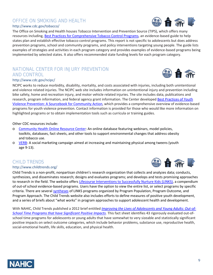#### OFFICE ON SMOKING AND HEALTH <http://www.cdc.gov/tobacco/>

The Office on Smoking and Health houses Tobacco Intervention and Prevention Source (TIPS), which offers many resources including[, Best Practices for Comprehensive Tobacco](http://www.cdc.gov/tobacco/stateandcommunity/best_practices/index.htm) Control Programs, an evidence-based guide to help states plan and establish effective tobacco control programs. This report is not specific to adolescents but does address prevention programs, school and community programs, and policy interventions targeting young people. The guide lists examples of strategies and activities in each program category and provides examples of evidence-based programs being implemented by selected states. It also offers recommended state funding levels for each program category.

# NATIONAL CENTER FOR INJURY PREVENTION AND CONTROL

#### <http://www.cdc.gov/ncipc/>

NCIPC works to reduce morbidity, disability, mortality, and costs associated with injuries, including both unintentional and violence related injuries. The NCIPC web site includes information on unintentional injury and prevention including bike safety, home and recreation injury, and motor vehicle related injuries. The site includes data, publications and research, program information, and federal agency grant information. The Center developed Best Practices of Youth [Violence Prevention: A Sourcebook for Community Action,](http://www.cdc.gov/violenceprevention/pdf/introduction-a.pdf) which provides a comprehensive overview of evidence-based programs for youth violence prevention. Contact information is provided for those who would like more information on highlighted programs or to obtain implementation tools such as curricula or training guides.

#### Other CDC resources include:

- o [Community Health Online Resource Center:](http://nccd.cdc.gov/DCH_CHORC/) An online database featuring webinars, model policies, toolkits, databases, fact sheets, and other tools to support environmental changes that address obesity and tobacco use.
- o [VERB:](http://www.cdc.gov/youthcampaign/index.htm) A social marketing campaign aimed at increasing and maintaining physical among tweens (youth age 9-13).

# CHILD TRENDS

#### <http://www.childtrends.org/>

Child Trends is a non-profit, nonpartisan children's research organization that collects and analyzes data; conducts, synthesizes, and disseminates research; designs and evaluates programs; and develops and tests promising approaches to research in the field. The website offer[s Lifecourse Interventions to Successfully Nurture Kids \(LINKS\),](http://www.childtrends.org/what-works/) a compendium of out-of school evidence-based programs. Users have the option to view the entire list, or select programs by specific criteria. There are several [syntheses](http://www.childtrends.org/what-works/links-syntheses/) of LINKS programs organized by Program Population, Program Outcome, and Program Approach. The Child Trends website also includes efforts to define measures of positive youth development, and a series of briefs about "what works" in program approaches to support adolescent health and development.

With NAHIC, Child Trends published a 2012 brief entitled *[Improving the Lives of Adolescents and Young Adults: Out-of-](http://nahic.ucsf.edu/wp-content/uploads/2012/07/Child_Trends_7_12_Out_Of_School.pdf)[School Time Programs that have Significant Positive Impacts.](http://nahic.ucsf.edu/wp-content/uploads/2012/07/Child_Trends_7_12_Out_Of_School.pdf)* This fact sheet identifies 43 rigorously evaluated out-ofschool time programs for adolescents or young adults that have somewhat to very sizeable and statistically significant positive impacts on select outcome categories, which include behavior problems, substance use, reproductive health, social-emotional health, life skills, education, and physical health.







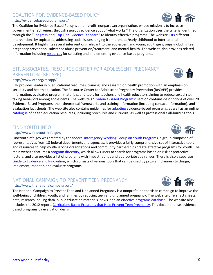## <http://nahic.ucsf.edu/> 10

#### COALTION FOR EVIDENCE-BASED POLICY <http://evidencebasedprograms.org/>

The Coalition for Evidence-Based Policy is a non-profit, nonpartisan organization, whose mission is to increase government effectiveness through rigorous evidence about "what works." The organization uses the criteria identified through the ["Congressional Top Tier Evidence Standard"](http://toptierevidence.org/) to identify effective programs. The website [lists](http://evidencebasedprograms.org/about/full-list-of-programs) different interventions by topic area, addressing social issues ranging from prenatal/early childhood to international development. It highlights several interventions relevant to the adolescent and young adult age groups including teen pregnancy prevention, substance abuse prevention/treatment, and mental health. The website also provides related information includin[g resources](http://evidencebasedprograms.org/related-resources) for selecting and implementing evidence-based programs.

# ETR ASSOCIATES, RESOURCE CENTER FOR ADOLESCENT PREGNANCY PREVENTION (RECAPP)

#### <http://www.etr.org/recapp/>

ETR provides leadership, educational resources, training, and research on health promotion with an emphasis on sexuality and health education. The Resource Center for Adolescent Pregnancy Prevention (ReCAPP) provides information, evaluated program materials, and tools for teachers and health educators aiming to reduce sexual risk-taking behaviors among adolescents. The website's ["Evidence-Based Programs"](http://recapp.etr.org/recapp/index.cfm?fuseaction=pages.ebphome) section contains descriptions of over 20 Evidence-Based Programs, their theoretical frameworks and training information (including contact information), and evaluation fact sheets. The web site also contains guidelines for [adapting](http://recapp.etr.org/recapp/index.cfm?fuseaction=pages.AdaptationsHome) evidence-based programs, as well as an online [catalogue](http://pub.etr.org/) of health education resources, including brochures and curricula, as well as professional skill-building tools.

# FIND YOUTH INFO

#### <http://www.findyouthinfo.gov/>

FindYouthInfo.gov was created by the federal [Interagency Working Group on Youth Programs,](http://www.findyouthinfo.gov/feature-article/federal-collaboration) a group composed of representatives from 18 federal departments and agencies. It provides a fairly comprehensive set of interactive tools and resources to help youth-serving organizations and community partnerships create effective programs for youth. The main website features a [program directory,](http://www.findyouthinfo.gov/program-directory) which allows users to search for programs based on risk or protective factors, and also provides a list of programs with impact ratings and appropriate age ranges. There is also a separate [Guide to Evidence and Innovation,](http://evidence-innovation.findyouthinfo.gov/) which consists of various tools that can be used by program planners to design, implement, monitor, and evaluate programs.

# NATIONAL CAMPAIGN TO PREVENT TEEN PREGNANCY

#### http://www.thenationalcampaign.org/

The National Campaign to Prevent Teen and Unplanned Pregnancy is a nonprofit, nonpartisan campaign to improve the well-being of children, youth, and families by reducing teen and unplanned pregnancy. The web site offers fact sheets, data, research, polling data, public education materials, news, and an [effective programs database.](http://thenationalcampaign.org/effective-programs) The website also includes the 2012 report, [Curriculum-Based Programs that Help Prevent Teen Pregnancy.](http://thenationalcampaign.org/sites/default/files/resource-primary-download/WhatWorks.pdf) This document lists evidencebased programs by evaluation design.









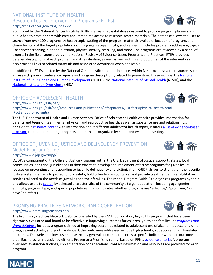## NATIONAL INSTITUTE OF HEALTH, Research-tested Intervention Programs (RTIPs) <http://rtips.cancer.gov/rtips/index.do>

Sponsored by the National Cancer Institute, RTIPs is a searchable database designed to provide program planners and public health practitioners with easy and immediate access to research-tested materials. The database allows the user to search from over 100 programs by health topic, setting of the program, materials available, location of program, and characteristics of the target population including age, race/ethnicity, and gender. It includes programs addressing topics like cancer screening, diet and nutrition, physical activity, smoking, and more. The programs are reviewed by a panel of experts in the field, sponsored by the National Registry of Evidence-based Programs and Practices. RTIPs provides detailed descriptions of each program and its evaluation, as well as key findings and outcomes of the interventions. It also provides links to related materials and associated downloads when applicable.

In addition to RTIPs, hosted by the National Cancer Institute, other Institutes within NIH provide several resources such as research papers, conference reports and program descriptions, related to prevention. These include: the National [Institute of Child Health and Human Development](http://www.nichd.nih.gov/Pages/index.aspx) (NIHCD); the [National Institute of Mental Health](http://www.nimh.nih.gov/index.shtml) (NIMH); and the [National Institute on Drug Abuse](http://www.drugabuse.gov/) (NIDA).

# OFFICE OF ADOLESCENT HEALTH

<http://www.hhs.gov/ash/oah/>

NAHI

<http://www.hhs.gov/ash/oah/resources-and-publications/info/parents/just-facts/physical-health.html> (Fact sheet for parents)

The U.S. Department of Health and Human Services, Office of Adolescent Health website provides information for parents and teens on teen mental, physical, and reproductive health, as well as substance use and relationships. In addition to a [resource center](http://www.hhs.gov/ash/oah/) with information about different adolescent health topics, it offers [a list of evidence-based](http://www.hhs.gov/ash/oah/oah-initiatives/teen_pregnancy/db/programs.html)  [programs](http://www.hhs.gov/ash/oah/oah-initiatives/teen_pregnancy/db/programs.html) related to teen pregnancy prevention that is organized by name and evaluation setting.

## OFFICE OF JUVENILE JUSTICE AND DELINQUENCY PREVENTION Model Program Guide <http://www.ojjdp.gov/mpg/>

OJJDP, a component of the Office of Justice Programs within the U.S. Department of Justice, supports states, local communities, and tribal jurisdictions in their efforts to develop and implement effective programs for juveniles. It focuses on preventing and responding to juvenile delinquency and victimization. OJJDP strives to strengthen the juvenile justice system's efforts to protect public safety, hold offenders accountable, and provide treatment and rehabilitative services tailored to the needs of juveniles and their families. The Model Program Guide Site organizes programs by topic and allows users to [search](http://www.ojjdp.gov/mpg/mpgSearchFactors.aspx) by selected characteristics of the community's target population, including age, gender, ethnicity, program type, and special populations. It also indicates whether programs are "effective," "promising," or have "no effects."

## PROMISING PRACTICES NETWORK, RAND CORPORATION <http://www.promisingpractices.net/>

The Promising Practices Network website, operated by the RAND Corporation, highlights programs that have been rigorously evaluated and found to be effective in improving outcomes for children, youth and families. Its *[Programs that](http://www.promisingpractices.net/programs.asp)  [Work database](http://www.promisingpractices.net/programs.asp)* includes programs aimed at improving outcomes related to adolescent use of alcohol, tobacco and other drugs, sexual activity, and youth violence. Other outcomes addressed include high school graduation and family-related outcomes. The website allows users to search by general outcome area, or by a specific indicator within an outcome area. Each program is assigned either a Proven or a Promising rating, based on PPN's [evidence criteria.](http://www.promisingpractices.net/criteria.asp) A program overview, evaluation findings, implementation considerations, contact information and resources are provided for each program.







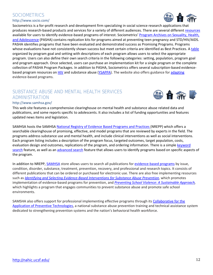## <http://nahic.ucsf.edu/> 12

# SOCIOMETRICS

#### <http://www.socio.com/>

Sociometrics is a for-profit research and development firm specializing in social science research applications that produces research-based products and services for a variety of different audiences. There are several different [resources](http://socio.com/effectiveprograms.php) available for users to identify evidence-based programs of interest. Sociometrics' [Program Archives on Sexuality, Health,](http://www.socio.com/pasha.php)  [and Adolescence](http://www.socio.com/pasha.php) (PASHA) contains replication kits for programs aimed at preventing teen pregnancy and STD/HIV/AIDS. PASHA identifies programs that have been evaluated and demonstrated success as Promising Programs. Programs whose evaluations have not consistently shown success but meet certain criteria are identified as Best Practices. A [table](http://www.socio.com/pashatable.php) organized by program goal and setting with descriptions of each program allows users to select the appropriate program. Users can also define their own search criteria in the following categories: setting, population, program goal and program approach. Once selected, users can purchase an implementation kit for a single program or the complete collection of PASHA Program Packages. In addition to PASHA, Sociometrics offers several subscription-based evidence-based program resources on [HIV](http://socio.com/hivrap.php) and substance abuse [\(YSAPPA\)](http://socio.com/ysappa.php). The website also offers guidance for [adapting](http://www.socio.com/digitized-publications/how-to-adapt-effective-programs-for-use-in-new-contexts-solomon-card-cunninghan.pdf) evidence-based programs.

# SUBSTANCE ABUSE AND MENTAL HEALTH SERVICES ADMINISTRATION

#### <http://www.samhsa.gov/>

This web site features a comprehensive clearinghouse on mental health and substance abuse related data and publications, and some reports specific to adolescents. It also includes a list of funding opportunities and features updated news items and legislation.

SAMHSA hosts the SAMHSA [National Registry of Evidence Based Programs and Practices](http://nrepp.samhsa.gov/) (NREPP) which offers a searchable clearinghouse of promising, effective, and model programs that are reviewed by experts in the field. The programs address substance use and mental health, and include clinical interventions as well as social interventions. Each program listing includes a description of the program focus, targeted outcomes, target population, costs, evaluation design and outcomes, replications of the program, and ordering information. There is a simple keyword [search](http://nrepp.samhsa.gov/Search.aspx) feature, as well as an [advanced search](http://nrepp.samhsa.gov/AdvancedSearch.aspx) feature that allows users to identify programs based on specific aspects of the program.

In addition to NREPP[, SAMHSA](http://store.samhsa.gov/) store allows users to search all publications fo[r evidence-based programs](http://store.samhsa.gov/facet/Professional-Research-Topics/term/Evidence-Based-Practices) by issue, condition, disorder, substance, treatment, prevention, recovery, and professional and research topics. It consists of different publications that can be ordered or purchased for electronic use. There are also free implementing resources such as *[Identifying and Selecting Evidence-Based Interventions for Substance Abuse Prevention,](http://store.samhsa.gov/product/Identifying-and-Selecting-Evidence-Based-Interventions-for-Substance-Abuse-Prevention/SMA09-4205)* which promotes implementation of evidence-based programs for prevention, and *[Preventing School Violence: A Sustainable Approach,](http://store.samhsa.gov/product/SAMHSA-News-Preventing-School-Violence-A-Sustainable-Approach/SAM13-212)*  which highlights a program that engages communities to prevent substance abuse and promote safe school environments.

SAMSHA also offers support for professional implementing effective programs through its [Collaborative for the](http://captus.samhsa.gov/)  [Application of Preventive Technologies,](http://captus.samhsa.gov/) a national substance abuse prevention training and technical assistance system dedicated to strengthening prevention systems and the nation's behavioral health workforce.





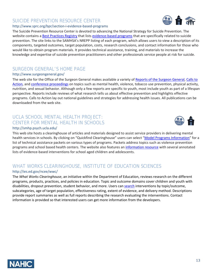# SUICIDE PREVENTION RESOURCE CENTER

#### <http://www.sprc.org/bpr/section-i-evidence-based-programs>

The Suicide Prevention Resource Center is devoted to advancing the National Strategy for Suicide Prevention. The website contains a **[Best Practices Registry](http://www.sprc.org/bpr)** that lists [evidence-based programs](http://www.sprc.org/bpr/section-i-evidence-based-programs) that are specifically related to suicide prevention. The site links to the SAMHSA's NREPP listing of each program, which allows users to view a description of its components, targeted outcomes, target population, costs, research conclusions, and contact information for those who would like to obtain program materials. It provides technical assistance, training, and materials to increase the knowledge and expertise of suicide prevention practitioners and other professionals service people at risk for suicide.

# SURGEON GENERAL'S HOME PAGE

## <http://www.surgeongeneral.gov/>

The web site for the Office of the Surgeon General makes available a variety o[f Reports of the Surgeon General,](http://www.surgeongeneral.gov/library/reports/index.html) [Calls to](http://www.surgeongeneral.gov/library/calls/index.html)  [Action,](http://www.surgeongeneral.gov/library/calls/index.html) an[d conference proceedings](http://www.surgeongeneral.gov/library/conference/index.html) on topics such as mental health, violence, tobacco use prevention, physical activity, nutrition, and sexual behavior. Although only a few reports are specific to youth, most include youth as part of a lifespan perspective. Reports include reviews of what research tells us about effective prevention and highlights effective programs. Calls to Action lay out national guidelines and strategies for addressing health issues. All publications can be downloaded from the web site.

## UCLA SCHOOL MENTAL HEALTH PROJECT: CENTER FOR MENTAL HEALTH IN SCHOOLS <http://smhp.psych.ucla.edu/>

This web site hosts a clearinghouse of articles and materials designed to assist service providers in delivering mental health services in schools. By clicking on "Quickfind Clearinghouse" users can select ["Model Programs Information"](http://smhp.psych.ucla.edu/qf/model.htm) for a list of technical assistance packets on various types of programs. Packets address topics such as violence prevention programs and school based health centers. The website also features a[n information resource](http://smhp.psych.ucla.edu/pdfdocs/aboutmh/annotatedlist.pdf) with several annotated lists of evidence-based interventions for school aged children and adolescents.

# WHAT WORKS CLEARINGHOUSE, INSTITUTE OF EDUCATION SCIENCES <http://ies.ed.gov/ncee/wwc/>

The *What Works Clearinghouse*, an initiative within the Department of Education, reviews research on the different programs, products, practices, and policies in education. Topic and outcome domains cover children and youth with disabilities, dropout prevention, student behavior, and more. Users ca[n search](http://ies.ed.gov/ncee/wwc/findwhatworks.aspx) interventions by topic/outcome, subcategories, age of target population, effectiveness rating, extent of evidence, and delivery method. Descriptions provide report summaries as well as full reports describing the research evaluating the interventions. Contact information is provided so that interested users can get more information from the developers.